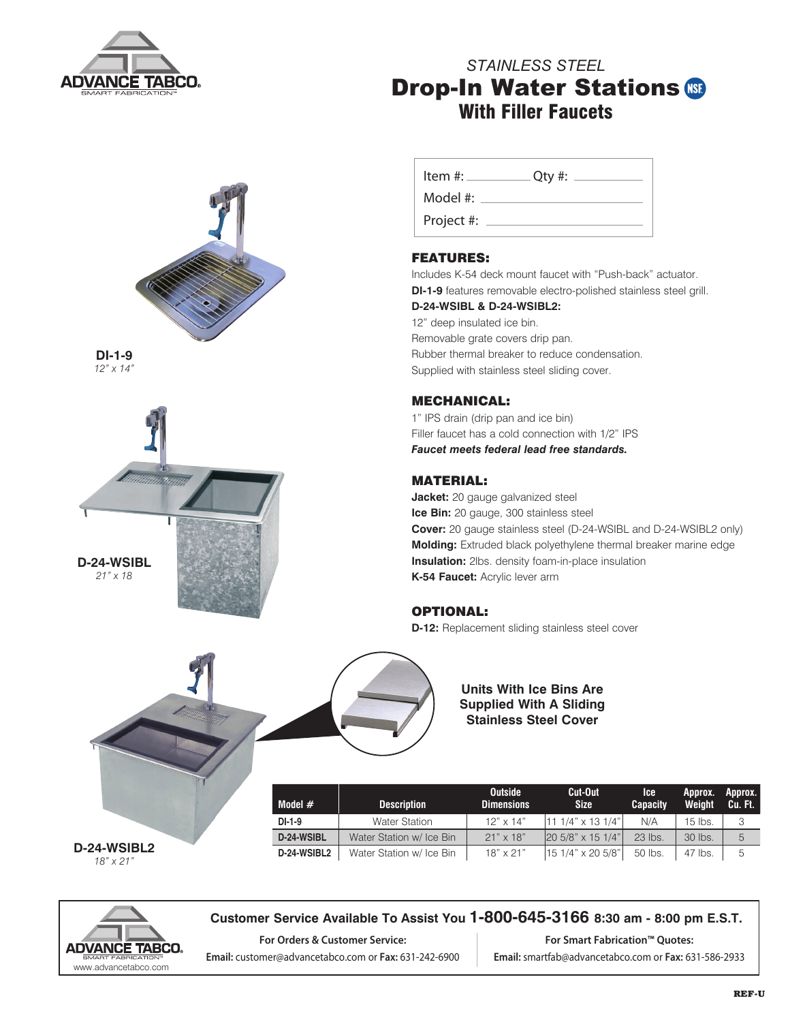

# *STAINLESS STEEL* **Drop-In Water Stations (S)** With Filler Faucets



**DI-1-9** *12" x 14"*



| Item $\#$ : | $Q$ ty #: |
|-------------|-----------|
| Model #:    |           |
| Project #:  |           |

# FEATURES:

Includes K-54 deck mount faucet with "Push-back" actuator. **DI-1-9** features removable electro-polished stainless steel grill.

#### **D-24-WSIBL & D-24-WSIBL2:**

12" deep insulated ice bin. Removable grate covers drip pan. Rubber thermal breaker to reduce condensation. Supplied with stainless steel sliding cover.

#### MECHANICAL:

1" IPS drain (drip pan and ice bin) Filler faucet has a cold connection with 1/2" IPS *Faucet meets federal lead free standards.*

### MATERIAL:

**Jacket:** 20 gauge galvanized steel **Ice Bin:** 20 gauge, 300 stainless steel **Cover:** 20 gauge stainless steel (D-24-WSIBL and D-24-WSIBL2 only) **Molding:** Extruded black polyethylene thermal breaker marine edge **Insulation:** 2lbs. density foam-in-place insulation **K-54 Faucet:** Acrylic lever arm

## OPTIONAL:

**D-12:** Replacement sliding stainless steel cover



#### **Units With Ice Bins Are Supplied With A Sliding Stainless Steel Cover**

| D-24-WSIBL2      |  |
|------------------|--|
| $18" \times 21"$ |  |

| Model $#$   | <b>Description</b>       | <b>Outside</b><br><b>Dimensions</b> | Cut-Out<br><b>Size</b>  | lce.<br><b>Capacity</b> | 'Approx. Approx.<br>Weight | Cu. Ft. |
|-------------|--------------------------|-------------------------------------|-------------------------|-------------------------|----------------------------|---------|
| DI-1-9      | <b>Water Station</b>     | $12" \times 14"$                    | 11 1/4" x 13 1/4"       | N/A                     | $15$ lbs.                  | 3       |
| D-24-WSIBL  | Water Station w/ Ice Bin | $21" \times 18"$                    | $ 205/8" \times 151/4"$ | $23$ lbs.               | 30 lbs.                    | 5       |
| D-24-WSIBL2 | Water Station w/ Ice Bin | $18" \times 21"$                    | 15 1/4" x 20 5/8"       | 50 lbs.                 | 47 lbs.                    | 5       |



#### **Customer Service Available To Assist You 1-800-645-3166 8:30 am - 8:00 pm E.S.T.**

**For Orders & Customer Service: Email:** customer@advancetabco.com or **Fax:** 631-242-6900

**For Smart Fabrication™ Quotes: Email:** smartfab@advancetabco.com or **Fax:** 631-586-2933